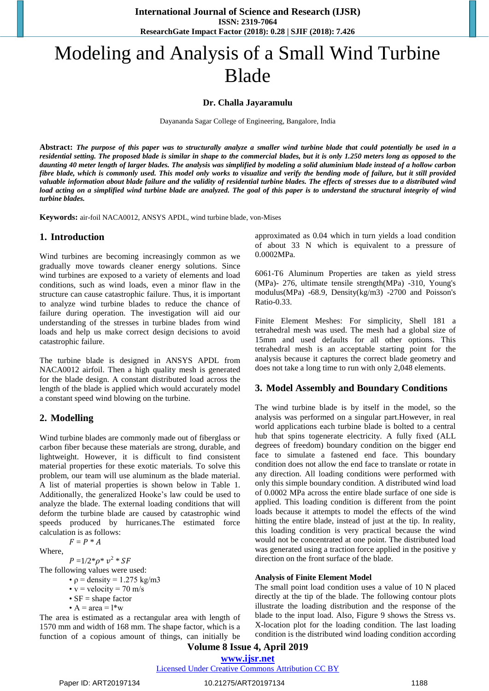**International Journal of Science and Research (IJSR) ISSN: 2319-7064 ResearchGate Impact Factor (2018): 0.28 | SJIF (2018): 7.426**

# Modeling and Analysis of a Small Wind Turbine Blade

#### **Dr. Challa Jayaramulu**

Dayananda Sagar College of Engineering, Bangalore, India

**Abstract:** *The purpose of this paper was to structurally analyze a smaller wind turbine blade that could potentially be used in a residential setting. The proposed blade is similar in shape to the commercial blades, but it is only 1.250 meters long as opposed to the daunting 40 meter length of larger blades. The analysis was simplified by modeling a solid aluminium blade instead of a hollow carbon fibre blade, which is commonly used. This model only works to visualize and verify the bending mode of failure, but it still provided valuable information about blade failure and the validity of residential turbine blades. The effects of stresses due to a distributed wind load acting on a simplified wind turbine blade are analyzed. The goal of this paper is to understand the structural integrity of wind turbine blades.*

**Keywords:** air-foil NACA0012, ANSYS APDL, wind turbine blade, von-Mises

#### **1. Introduction**

Wind turbines are becoming increasingly common as we gradually move towards cleaner energy solutions. Since wind turbines are exposed to a variety of elements and load conditions, such as wind loads, even a minor flaw in the structure can cause catastrophic failure. Thus, it is important to analyze wind turbine blades to reduce the chance of failure during operation. The investigation will aid our understanding of the stresses in turbine blades from wind loads and help us make correct design decisions to avoid catastrophic failure.

The turbine blade is designed in ANSYS APDL from NACA0012 airfoil. Then a high quality mesh is generated for the blade design. A constant distributed load across the length of the blade is applied which would accurately model a constant speed wind blowing on the turbine.

#### **2. Modelling**

Wind turbine blades are commonly made out of fiberglass or carbon fiber because these materials are strong, durable, and lightweight. However, it is difficult to find consistent material properties for these exotic materials. To solve this problem, our team will use aluminum as the blade material. A list of material properties is shown below in Table 1. Additionally, the generalized Hooke's law could be used to analyze the blade. The external loading conditions that will deform the turbine blade are caused by catastrophic wind speeds produced by hurricanes.The estimated force calculation is as follows:

$$
F = P^* A
$$

Where,

 $P = 1/2^* \rho^* v^2 * SF$ 

The following values were used:

•  $\rho$  = density = 1.275 kg/m3

•  $v =$  velocity = 70 m/s •  $SF = shape$  factor

•  $A = \text{area} = l^*w$ 

The area is estimated as a rectangular area with length of 1570 mm and width of 168 mm. The shape factor, which is a function of a copious amount of things, can initially be approximated as 0.04 which in turn yields a load condition of about 33 N which is equivalent to a pressure of 0.0002MPa.

6061-T6 Aluminum Properties are taken as yield stress (MPa)- 276, ultimate tensile strength(MPa) -310, Young's modulus(MPa) -68.9, Density(kg/m3) -2700 and Poisson's Ratio-0.33.

Finite Element Meshes: For simplicity, Shell 181 a tetrahedral mesh was used. The mesh had a global size of 15mm and used defaults for all other options. This tetrahedral mesh is an acceptable starting point for the analysis because it captures the correct blade geometry and does not take a long time to run with only 2,048 elements.

#### **3. Model Assembly and Boundary Conditions**

The wind turbine blade is by itself in the model, so the analysis was performed on a singular part.However, in real world applications each turbine blade is bolted to a central hub that spins togenerate electricity. A fully fixed (ALL degrees of freedom) boundary condition on the bigger end face to simulate a fastened end face. This boundary condition does not allow the end face to translate or rotate in any direction. All loading conditions were performed with only this simple boundary condition. A distributed wind load of 0.0002 MPa across the entire blade surface of one side is applied. This loading condition is different from the point loads because it attempts to model the effects of the wind hitting the entire blade, instead of just at the tip. In reality, this loading condition is very practical because the wind would not be concentrated at one point. The distributed load was generated using a traction force applied in the positive y direction on the front surface of the blade.

#### **Analysis of Finite Element Model**

The small point load condition uses a value of 10 N placed directly at the tip of the blade. The following contour plots illustrate the loading distribution and the response of the blade to the input load. Also, Figure 9 shows the Stress vs. X-location plot for the loading condition. The last loading condition is the distributed wind loading condition according

# **Volume 8 Issue 4, April 2019 www.ijsr.net**

Licensed Under Creative Commons Attribution CC BY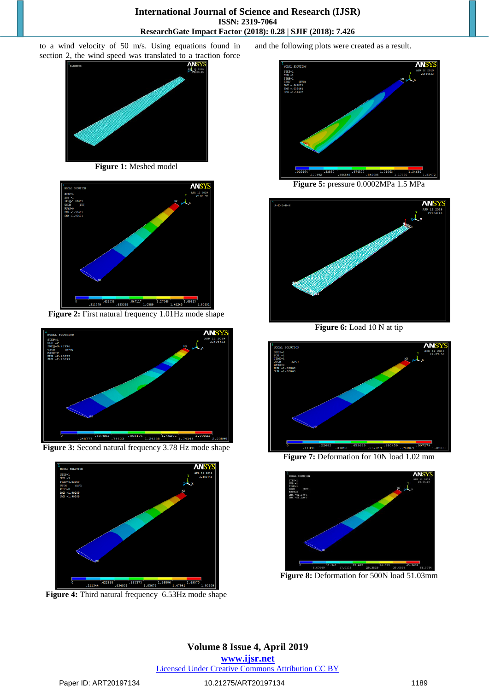## **International Journal of Science and Research (IJSR) ISSN: 2319-7064 ResearchGate Impact Factor (2018): 0.28 | SJIF (2018): 7.426**

to a wind velocity of 50 m/s. Using equations found in section 2, the wind speed was translated to a traction force



**Figure 1:** Meshed model



**Figure 2:** First natural frequency 1.01Hz mode shape



**Figure 3:** Second natural frequency 3.78 Hz mode shape



**Figure 4:** Third natural frequency 6.53Hz mode shape

and the following plots were created as a result.



**Figure 5:** pressure 0.0002MPa 1.5 MPa



**Figure 6:** Load 10 N at tip



**Figure 7:** Deformation for 10N load 1.02 mm



**Figure 8:** Deformation for 500N load 51.03mm

**Volume 8 Issue 4, April 2019 www.ijsr.net** Licensed Under Creative Commons Attribution CC BY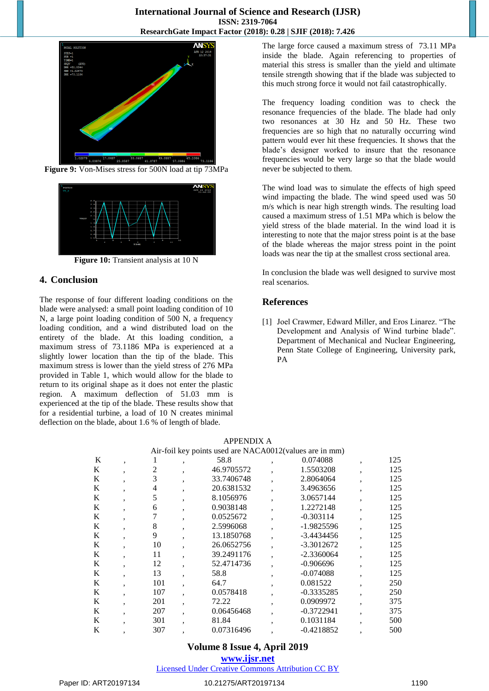

**Figure 9:** Von-Mises stress for 500N load at tip 73MPa



**Figure 10:** Transient analysis at 10 N

# **4. Conclusion**

The response of four different loading conditions on the blade were analysed: a small point loading condition of 10 N, a large point loading condition of 500 N, a frequency loading condition, and a wind distributed load on the entirety of the blade. At this loading condition, a maximum stress of 73.1186 MPa is experienced at a slightly lower location than the tip of the blade. This maximum stress is lower than the yield stress of 276 MPa provided in Table 1, which would allow for the blade to return to its original shape as it does not enter the plastic region. A maximum deflection of 51.03 mm is experienced at the tip of the blade. These results show that for a residential turbine, a load of 10 N creates minimal deflection on the blade, about 1.6 % of length of blade.

The large force caused a maximum stress of 73.11 MPa inside the blade. Again referencing to properties of material this stress is smaller than the yield and ultimate tensile strength showing that if the blade was subjected to this much strong force it would not fail catastrophically.

The frequency loading condition was to check the resonance frequencies of the blade. The blade had only two resonances at 30 Hz and 50 Hz. These two frequencies are so high that no naturally occurring wind pattern would ever hit these frequencies. It shows that the blade's designer worked to insure that the resonance frequencies would be very large so that the blade would never be subjected to them.

The wind load was to simulate the effects of high speed wind impacting the blade. The wind speed used was 50 m/s which is near high strength winds. The resulting load caused a maximum stress of 1.51 MPa which is below the yield stress of the blade material. In the wind load it is interesting to note that the major stress point is at the base of the blade whereas the major stress point in the point loads was near the tip at the smallest cross sectional area.

In conclusion the blade was well designed to survive most real scenarios.

# **References**

[1] Joel Crawmer, Edward Miller, and Eros Linarez. "The Development and Analysis of Wind turbine blade". Department of Mechanical and Nuclear Engineering, Penn State College of Engineering, University park, PA

|                                                         |         |     |   | <b>APPENDIX A</b> |  |              |         |     |  |  |
|---------------------------------------------------------|---------|-----|---|-------------------|--|--------------|---------|-----|--|--|
| Air-foil key points used are NACA0012(values are in mm) |         |     |   |                   |  |              |         |     |  |  |
| K                                                       | $\cdot$ |     | ٠ | 58.8              |  | 0.074088     | ,       | 125 |  |  |
| K                                                       | ۰       | 2   |   | 46.9705572        |  | 1.5503208    | ۰       | 125 |  |  |
| K                                                       | ۰       | 3   |   | 33.7406748        |  | 2.8064064    | ۰       | 125 |  |  |
| K                                                       | ۰       | 4   |   | 20.6381532        |  | 3.4963656    |         | 125 |  |  |
| K                                                       | ۰       | 5   | ٠ | 8.1056976         |  | 3.0657144    |         | 125 |  |  |
| K                                                       | ۰       | 6   |   | 0.9038148         |  | 1.2272148    |         | 125 |  |  |
| K                                                       | ۰       |     |   | 0.0525672         |  | $-0.303114$  | ۰       | 125 |  |  |
| K                                                       | ۰       | 8   | ۰ | 2.5996068         |  | $-1.9825596$ | $\cdot$ | 125 |  |  |
| K                                                       | ۰       | 9   |   | 13.1850768        |  | $-3.4434456$ |         | 125 |  |  |
| K                                                       | ۰       | 10  |   | 26.0652756        |  | $-3.3012672$ |         | 125 |  |  |
| K                                                       | ۰       | 11  |   | 39.2491176        |  | $-2.3360064$ |         | 125 |  |  |
| K                                                       | ۰       | 12  |   | 52.4714736        |  | $-0.906696$  |         | 125 |  |  |
| K                                                       | ۰       | 13  |   | 58.8              |  | $-0.074088$  | ,       | 125 |  |  |
| K                                                       | ۰       | 101 |   | 64.7              |  | 0.081522     |         | 250 |  |  |
| K                                                       | ,       | 107 |   | 0.0578418         |  | $-0.3335285$ |         | 250 |  |  |
| K                                                       | ۰       | 201 |   | 72.22             |  | 0.0909972    |         | 375 |  |  |
| K                                                       | ۰       | 207 |   | 0.06456468        |  | $-0.3722941$ |         | 375 |  |  |
| K                                                       | ۰       | 301 |   | 81.84             |  | 0.1031184    |         | 500 |  |  |
| K                                                       |         | 307 |   | 0.07316496        |  | $-0.4218852$ |         | 500 |  |  |

# **Volume 8 Issue 4, April 2019**

#### **www.ijsr.net**

Licensed Under Creative Commons Attribution CC BY